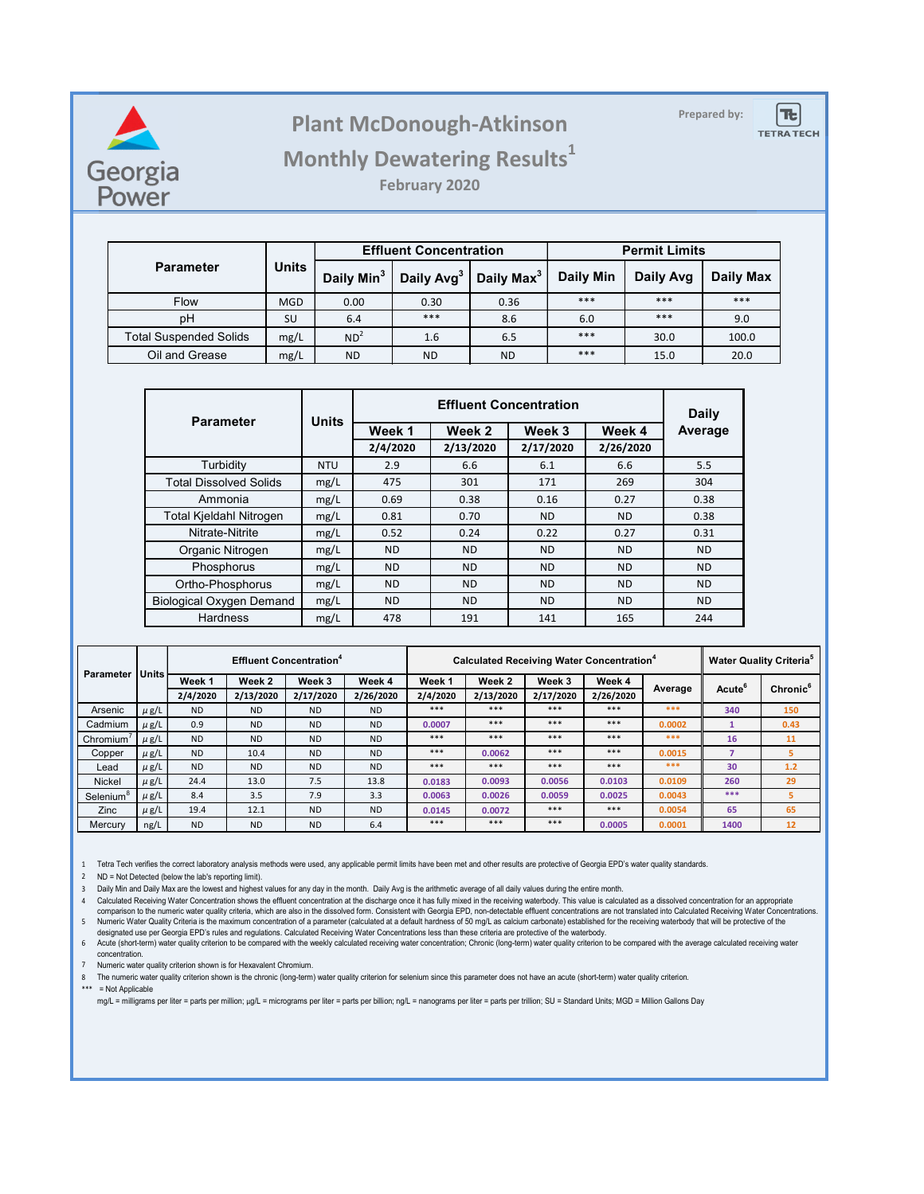

### **Prepared by: Plant McDonough-Atkinson**



#### **Monthly Dewatering Results<sup>1</sup>**

**February 2020**

|                               | <b>Units</b> |                        | <b>Effluent Concentration</b> |                        | <b>Permit Limits</b> |           |           |  |
|-------------------------------|--------------|------------------------|-------------------------------|------------------------|----------------------|-----------|-----------|--|
| <b>Parameter</b>              |              | Daily Min <sup>3</sup> | Daily Avg <sup>3</sup>        | Daily Max <sup>3</sup> | <b>Daily Min</b>     | Daily Avg | Daily Max |  |
| Flow                          | <b>MGD</b>   | 0.00                   | 0.30                          | 0.36                   | ***                  | ***       | ***       |  |
| pH                            | SU           | 6.4                    | ***                           | 8.6                    | 6.0                  | ***       | 9.0       |  |
| <b>Total Suspended Solids</b> | mg/L         | ND <sup>2</sup>        | 1.6                           | 6.5                    | ***                  | 30.0      | 100.0     |  |
| Oil and Grease                | mg/L         | <b>ND</b>              | <b>ND</b>                     | <b>ND</b>              | ***                  | 15.0      | 20.0      |  |

| <b>Parameter</b>                | <b>Units</b> |           | Daily     |           |           |           |
|---------------------------------|--------------|-----------|-----------|-----------|-----------|-----------|
|                                 |              | Week 1    | Week 2    | Week 3    | Week 4    | Average   |
|                                 |              | 2/4/2020  | 2/13/2020 | 2/17/2020 | 2/26/2020 |           |
| Turbidity                       | <b>NTU</b>   | 2.9       | 6.6       | 6.1       | 6.6       | 5.5       |
| <b>Total Dissolved Solids</b>   | mg/L         | 475       | 301       | 171       | 269       | 304       |
| Ammonia                         | mg/L         | 0.69      | 0.38      | 0.16      | 0.27      | 0.38      |
| Total Kjeldahl Nitrogen         | mg/L         | 0.81      | 0.70      | <b>ND</b> | <b>ND</b> | 0.38      |
| Nitrate-Nitrite                 | mg/L         | 0.52      | 0.24      | 0.22      | 0.27      | 0.31      |
| Organic Nitrogen                | mg/L         | <b>ND</b> | <b>ND</b> | <b>ND</b> | <b>ND</b> | <b>ND</b> |
| Phosphorus                      | mg/L         | <b>ND</b> | <b>ND</b> | <b>ND</b> | <b>ND</b> | <b>ND</b> |
| Ortho-Phosphorus                | mg/L         | <b>ND</b> | <b>ND</b> | ND.       | <b>ND</b> | <b>ND</b> |
| <b>Biological Oxygen Demand</b> | mg/L         | <b>ND</b> | <b>ND</b> | <b>ND</b> | <b>ND</b> | <b>ND</b> |
| <b>Hardness</b>                 | mg/L         | 478       | 191       | 141       | 165       | 244       |

| Units<br><b>Parameter</b> |           |           |           | <b>Effluent Concentration<sup>4</sup></b> |           | Calculated Receiving Water Concentration <sup>4</sup> |           |           |           |         | <b>Water Quality Criteria<sup>5</sup></b> |                      |
|---------------------------|-----------|-----------|-----------|-------------------------------------------|-----------|-------------------------------------------------------|-----------|-----------|-----------|---------|-------------------------------------------|----------------------|
|                           |           | Week 1    | Week 2    | Week 3                                    | Week 4    | Week 1                                                | Week 2    | Week 3    | Week 4    | Average | Acute <sup>6</sup>                        | Chronic <sup>6</sup> |
|                           |           | 2/4/2020  | 2/13/2020 | 2/17/2020                                 | 2/26/2020 | 2/4/2020                                              | 2/13/2020 | 2/17/2020 | 2/26/2020 |         |                                           |                      |
| Arsenic                   | $\mu$ g/L | <b>ND</b> | <b>ND</b> | <b>ND</b>                                 | <b>ND</b> | $***$                                                 | $***$     | ***       | $***$     | ***     | 340                                       | 150                  |
| Cadmium                   | $\mu$ g/L | 0.9       | <b>ND</b> | <b>ND</b>                                 | <b>ND</b> | 0.0007                                                | $***$     | ***       | $***$     | 0.0002  |                                           | 0.43                 |
| Chromium <sup>'</sup>     | $\mu$ g/L | <b>ND</b> | <b>ND</b> | <b>ND</b>                                 | <b>ND</b> | ***                                                   | ***       | ***       | ***       | ***     | 16                                        | 11                   |
| Copper                    | $\mu$ g/L | <b>ND</b> | 10.4      | <b>ND</b>                                 | <b>ND</b> | ***                                                   | 0.0062    | ***       | $***$     | 0.0015  | 7                                         | 5                    |
| Lead                      | $\mu$ g/L | <b>ND</b> | <b>ND</b> | <b>ND</b>                                 | <b>ND</b> | ***                                                   | ***       | ***       | $***$     | ***     | 30                                        | 1.2                  |
| Nickel                    | $\mu$ g/L | 24.4      | 13.0      | 7.5                                       | 13.8      | 0.0183                                                | 0.0093    | 0.0056    | 0.0103    | 0.0109  | 260                                       | 29                   |
| Selenium <sup>8</sup>     | $\mu$ g/L | 8.4       | 3.5       | 7.9                                       | 3.3       | 0.0063                                                | 0.0026    | 0.0059    | 0.0025    | 0.0043  | ***                                       | 5                    |
| Zinc                      | $\mu$ g/L | 19.4      | 12.1      | <b>ND</b>                                 | <b>ND</b> | 0.0145                                                | 0.0072    | ***       | $***$     | 0.0054  | 65                                        | 65                   |
| Mercury                   | ng/L      | <b>ND</b> | <b>ND</b> | <b>ND</b>                                 | 6.4       | ***                                                   | ***       | ***       | 0.0005    | 0.0001  | 1400                                      | 12                   |

1 Tetra Tech verifies the correct laboratory analysis methods were used, any applicable permit limits have been met and other results are protective of Georgia EPD's water quality standards.

2 ND = Not Detected (below the lab's reporting limit).

3 Daily Min and Daily Max are the lowest and highest values for any day in the month. Daily Avg is the arithmetic average of all daily values during the entire month.

4 Calculated Receiving Water Concentration shows the effluent concentration at the discharge once it has fully mixed in the receiving waterbody. This value is calculated as a dissolved concentration for an appropriate 5 Numeric Water Quality Criteria is the maximum concentration of a parameter (calculated at a default hardness of 50 mg/L as calcium carbonate) established for the receiving waterbody that will be protective of the<br>designa comparison to the numeric water quality criteria, which are also in the dissolved form. Consistent with Georgia EPD, non-detectable effluent concentrations are not translated into Calculated Receiving Water Concentrations.

6 Acute (short-term) water quality criterion to be compared with the weekly calculated receiving water concentration; Chronic (long-term) water quality criterion to be compared with the average calculated receiving water concentration.

7 Numeric water quality criterion shown is for Hexavalent Chromium.

8 The numeric water quality criterion shown is the chronic (long-term) water quality criterion for selenium since this parameter does not have an acute (short-term) water quality criterion.

\*\*\* = Not Applicable

mg/L = milligrams per liter = parts per million; µg/L = micrograms per liter = parts per billion; ng/L = nanograms per liter = parts per trillion; SU = Standard Units; MGD = Million Gallons Day